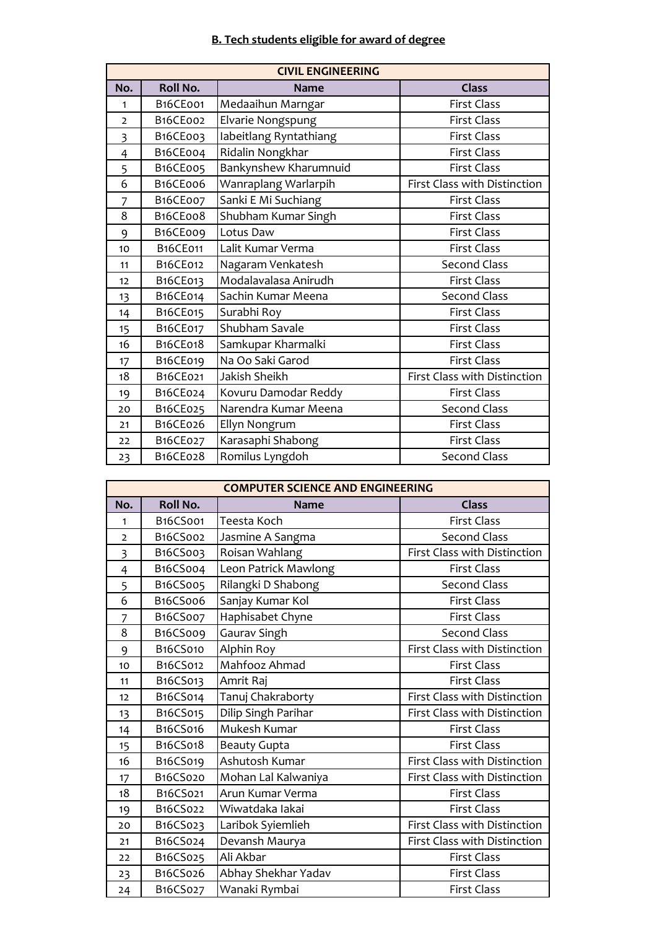## **B. Tech students eligible for award of degree**

|                         | <b>CIVIL ENGINEERING</b> |                        |                              |  |
|-------------------------|--------------------------|------------------------|------------------------------|--|
| No.                     | <b>Roll No.</b>          | <b>Name</b>            | <b>Class</b>                 |  |
| 1                       | B <sub>16</sub> CE001    | Medaaihun Marngar      | <b>First Class</b>           |  |
| $\overline{2}$          | B <sub>16</sub> CE002    | Elvarie Nongspung      | <b>First Class</b>           |  |
| $\overline{\mathbf{3}}$ | B <sub>16</sub> CE003    | labeitlang Ryntathiang | <b>First Class</b>           |  |
| $\overline{4}$          | B16CE004                 | Ridalin Nongkhar       | <b>First Class</b>           |  |
| 5                       | B <sub>16</sub> CE005    | Bankynshew Kharumnuid  | <b>First Class</b>           |  |
| 6                       | B16CE006                 | Wanraplang Warlarpih   | First Class with Distinction |  |
| 7                       | B <sub>16</sub> CE007    | Sanki E Mi Suchiang    | <b>First Class</b>           |  |
| 8                       | B16CE008                 | Shubham Kumar Singh    | <b>First Class</b>           |  |
| 9                       | B16CE009                 | Lotus Daw              | <b>First Class</b>           |  |
| 10                      | <b>B16CE011</b>          | Lalit Kumar Verma      | <b>First Class</b>           |  |
| 11                      | B16CE012                 | Nagaram Venkatesh      | <b>Second Class</b>          |  |
| 12                      | B16CE013                 | Modalavalasa Anirudh   | First Class                  |  |
| 13                      | B16CE014                 | Sachin Kumar Meena     | <b>Second Class</b>          |  |
| 14                      | B16CE015                 | Surabhi Roy            | <b>First Class</b>           |  |
| 15                      | B16CE017                 | Shubham Savale         | <b>First Class</b>           |  |
| 16                      | B16CE018                 | Samkupar Kharmalki     | <b>First Class</b>           |  |
| 17                      | B16CE019                 | Na Oo Saki Garod       | <b>First Class</b>           |  |
| 18                      | B16CE021                 | Jakish Sheikh          | First Class with Distinction |  |
| 19                      | B16CE024                 | Kovuru Damodar Reddy   | <b>First Class</b>           |  |
| 20                      | B16CE025                 | Narendra Kumar Meena   | <b>Second Class</b>          |  |
| 21                      | B16CE026                 | Ellyn Nongrum          | <b>First Class</b>           |  |
| 22                      | B16CE027                 | Karasaphi Shabong      | <b>First Class</b>           |  |
| 23                      | B16CE028                 | Romilus Lyngdoh        | <b>Second Class</b>          |  |

| <b>COMPUTER SCIENCE AND ENGINEERING</b> |          |                      |                              |
|-----------------------------------------|----------|----------------------|------------------------------|
| <b>Roll No.</b><br>No.                  |          | <b>Name</b>          | <b>Class</b>                 |
| 1                                       | B16CS001 | Teesta Koch          | <b>First Class</b>           |
| $\overline{2}$                          | B16CS002 | Jasmine A Sangma     | <b>Second Class</b>          |
| $\overline{\mathbf{3}}$                 | B16CS003 | Roisan Wahlang       | First Class with Distinction |
| $\overline{4}$                          | B16CS004 | Leon Patrick Mawlong | <b>First Class</b>           |
| 5                                       | B16CS005 | Rilangki D Shabong   | <b>Second Class</b>          |
| 6                                       | B16CS006 | Sanjay Kumar Kol     | <b>First Class</b>           |
| $\overline{7}$                          | B16CS007 | Haphisabet Chyne     | <b>First Class</b>           |
| 8                                       | B16CS009 | Gaurav Singh         | <b>Second Class</b>          |
| 9                                       | B16CS010 | Alphin Roy           | First Class with Distinction |
| 10                                      | B16CS012 | Mahfooz Ahmad        | <b>First Class</b>           |
| 11                                      | B16CS013 | Amrit Raj            | <b>First Class</b>           |
| 12                                      | B16CS014 | Tanuj Chakraborty    | First Class with Distinction |
| 13                                      | B16CS015 | Dilip Singh Parihar  | First Class with Distinction |
| 14                                      | B16CS016 | Mukesh Kumar         | <b>First Class</b>           |
| 15                                      | B16CS018 | <b>Beauty Gupta</b>  | <b>First Class</b>           |
| 16                                      | B16CS019 | Ashutosh Kumar       | First Class with Distinction |
| 17                                      | B16CS020 | Mohan Lal Kalwaniya  | First Class with Distinction |
| 18                                      | B16CS021 | Arun Kumar Verma     | <b>First Class</b>           |
| 19                                      | B16CS022 | Wiwatdaka lakai      | <b>First Class</b>           |
| 20                                      | B16CS023 | Laribok Syiemlieh    | First Class with Distinction |
| 21                                      | B16CS024 | Devansh Maurya       | First Class with Distinction |
| 22                                      | B16CS025 | Ali Akbar            | <b>First Class</b>           |
| 23                                      | B16CS026 | Abhay Shekhar Yadav  | <b>First Class</b>           |
| 24                                      | B16CS027 | Wanaki Rymbai        | <b>First Class</b>           |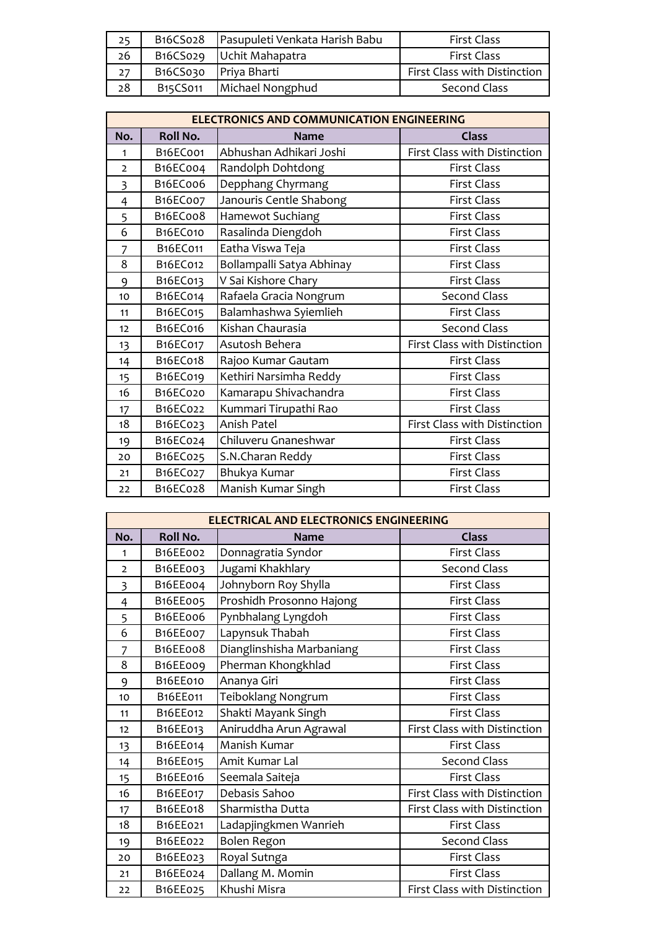| 25 | B <sub>16</sub> CS <sub>02</sub> 8 | Pasupuleti Venkata Harish Babu | First Class                  |
|----|------------------------------------|--------------------------------|------------------------------|
| 26 |                                    | B16CS029   Uchit Mahapatra     | <b>First Class</b>           |
| 27 |                                    | B16CS030 Priya Bharti          | First Class with Distinction |
| 28 | B <sub>15</sub> CS <sub>011</sub>  | Michael Nongphud               | Second Class                 |

|                | <b>ELECTRONICS AND COMMUNICATION ENGINEERING</b> |                           |                              |  |
|----------------|--------------------------------------------------|---------------------------|------------------------------|--|
| No.            | <b>Roll No.</b>                                  | <b>Name</b>               | <b>Class</b>                 |  |
| 1              | B <sub>16</sub> ECoo1                            | Abhushan Adhikari Joshi   | First Class with Distinction |  |
| $\overline{2}$ | B16EC004                                         | Randolph Dohtdong         | <b>First Class</b>           |  |
| $\overline{3}$ | B16EC006                                         | Depphang Chyrmang         | <b>First Class</b>           |  |
| 4              | B16EC007                                         | Janouris Centle Shabong   | <b>First Class</b>           |  |
| 5              | B16EC008                                         | Hamewot Suchiang          | <b>First Class</b>           |  |
| 6              | <b>B16EC010</b>                                  | Rasalinda Diengdoh        | <b>First Class</b>           |  |
| $\overline{7}$ | B16EC011                                         | Eatha Viswa Teja          | <b>First Class</b>           |  |
| 8              | B16EC012                                         | Bollampalli Satya Abhinay | <b>First Class</b>           |  |
| 9              | B16EC013                                         | V Sai Kishore Chary       | <b>First Class</b>           |  |
| 10             | B16EC014                                         | Rafaela Gracia Nongrum    | Second Class                 |  |
| 11             | B16EC015                                         | Balamhashwa Syiemlieh     | <b>First Class</b>           |  |
| 12             | <b>B16EC016</b>                                  | Kishan Chaurasia          | Second Class                 |  |
| 13             | B16EC017                                         | Asutosh Behera            | First Class with Distinction |  |
| 14             | B16EC018                                         | Rajoo Kumar Gautam        | First Class                  |  |
| 15             | B16EC019                                         | Kethiri Narsimha Reddy    | <b>First Class</b>           |  |
| 16             | B16EC020                                         | Kamarapu Shivachandra     | <b>First Class</b>           |  |
| 17             | B16EC022                                         | Kummari Tirupathi Rao     | <b>First Class</b>           |  |
| 18             | B16EC023                                         | Anish Patel               | First Class with Distinction |  |
| 19             | B16EC024                                         | Chiluveru Gnaneshwar      | <b>First Class</b>           |  |
| 20             | B16EC025                                         | S.N.Charan Reddy          | <b>First Class</b>           |  |
| 21             | B16EC027                                         | Bhukya Kumar              | First Class                  |  |
| 22             | B16EC028                                         | Manish Kumar Singh        | <b>First Class</b>           |  |

| <b>ELECTRICAL AND ELECTRONICS ENGINEERING</b> |                       |                           |                              |
|-----------------------------------------------|-----------------------|---------------------------|------------------------------|
| No.                                           | <b>Roll No.</b>       | <b>Name</b>               | <b>Class</b>                 |
| 1                                             | B16EE002              | Donnagratia Syndor        | <b>First Class</b>           |
| $\overline{2}$                                | B16EE003              | Jugami Khakhlary          | Second Class                 |
| $\overline{3}$                                | B16EE004              | Johnyborn Roy Shylla      | <b>First Class</b>           |
| $\overline{4}$                                | B16EE005              | Proshidh Prosonno Hajong  | <b>First Class</b>           |
| 5                                             | B <sub>16</sub> EE006 | Pynbhalang Lyngdoh        | <b>First Class</b>           |
| 6                                             | B16EE007              | Lapynsuk Thabah           | <b>First Class</b>           |
| 7                                             | B <sub>16</sub> EE008 | Dianglinshisha Marbaniang | <b>First Class</b>           |
| 8                                             | B16EE009              | Pherman Khongkhlad        | <b>First Class</b>           |
| 9                                             | <b>B16EE010</b>       | Ananya Giri               | <b>First Class</b>           |
| 10                                            | B16EE011              | Teiboklang Nongrum        | <b>First Class</b>           |
| 11                                            | B16EE012              | Shakti Mayank Singh       | <b>First Class</b>           |
| 12                                            | B16EE013              | Aniruddha Arun Agrawal    | First Class with Distinction |
| 13                                            | B16EE014              | Manish Kumar              | <b>First Class</b>           |
| 14                                            | B16EE015              | Amit Kumar Lal            | <b>Second Class</b>          |
| 15                                            | B16EE016              | Seemala Saiteja           | <b>First Class</b>           |
| 16                                            | B16EE017              | Debasis Sahoo             | First Class with Distinction |
| 17                                            | B16EE018              | Sharmistha Dutta          | First Class with Distinction |
| 18                                            | B16EE021              | Ladapjingkmen Wanrieh     | <b>First Class</b>           |
| 19                                            | B16EE022              | <b>Bolen Regon</b>        | Second Class                 |
| 20                                            | B16EE023              | Royal Sutnga              | <b>First Class</b>           |
| 21                                            | B16EE024              | Dallang M. Momin          | <b>First Class</b>           |
| 22                                            | B16EE025              | Khushi Misra              | First Class with Distinction |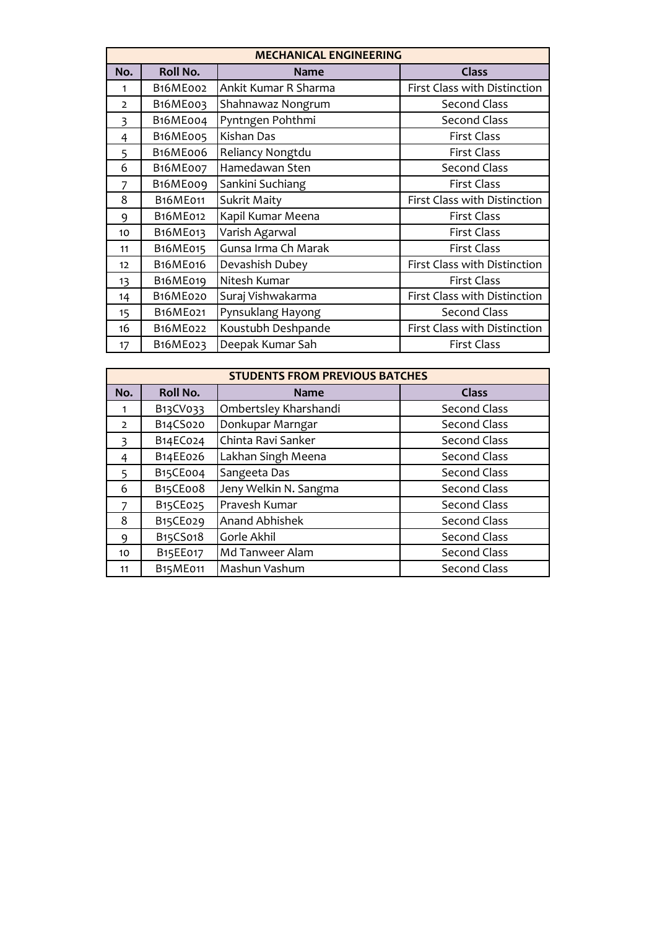|                | <b>MECHANICAL ENGINEERING</b> |                      |                              |  |
|----------------|-------------------------------|----------------------|------------------------------|--|
| No.            | <b>Roll No.</b>               | <b>Name</b>          | <b>Class</b>                 |  |
| 1              | B <sub>16</sub> ME002         | Ankit Kumar R Sharma | First Class with Distinction |  |
| $\overline{2}$ | B <sub>16</sub> ME003         | Shahnawaz Nongrum    | <b>Second Class</b>          |  |
| 3              | B16ME004                      | Pyntngen Pohthmi     | <b>Second Class</b>          |  |
| $\overline{4}$ | B <sub>16</sub> ME005         | Kishan Das           | <b>First Class</b>           |  |
| 5              | B <sub>16</sub> MEoo6         | Reliancy Nongtdu     | <b>First Class</b>           |  |
| 6              | B <sub>16</sub> MEoo7         | Hamedawan Sten       | <b>Second Class</b>          |  |
| 7              | B <sub>16</sub> ME009         | Sankini Suchiang     | <b>First Class</b>           |  |
| 8              | B16ME011                      | <b>Sukrit Maity</b>  | First Class with Distinction |  |
| 9              | B16ME012                      | Kapil Kumar Meena    | <b>First Class</b>           |  |
| 10             | B16ME013                      | Varish Agarwal       | <b>First Class</b>           |  |
| 11             | B16ME015                      | Gunsa Irma Ch Marak  | <b>First Class</b>           |  |
| 12             | B16ME016                      | Devashish Dubey      | First Class with Distinction |  |
| 13             | B16ME019                      | Nitesh Kumar         | <b>First Class</b>           |  |
| 14             | B16ME020                      | Suraj Vishwakarma    | First Class with Distinction |  |
| 15             | B16ME021                      | Pynsuklang Hayong    | Second Class                 |  |
| 16             | B16ME022                      | Koustubh Deshpande   | First Class with Distinction |  |
| 17             | B16ME023                      | Deepak Kumar Sah     | <b>First Class</b>           |  |

| <b>STUDENTS FROM PREVIOUS BATCHES</b> |                       |                       |                     |
|---------------------------------------|-----------------------|-----------------------|---------------------|
| No.                                   | <b>Roll No.</b>       | <b>Name</b>           | <b>Class</b>        |
| 1                                     | B13CV033              | Ombertsley Kharshandi | <b>Second Class</b> |
| $\mathcal{L}$                         | B14CS020              | Donkupar Marngar      | <b>Second Class</b> |
| 3                                     | B14EC024              | Chinta Ravi Sanker    | <b>Second Class</b> |
| 4                                     | B14EE026              | Lakhan Singh Meena    | <b>Second Class</b> |
| 5                                     | B <sub>15</sub> CEoo4 | Sangeeta Das          | Second Class        |
| 6                                     | B15CE008              | Jeny Welkin N. Sangma | Second Class        |
|                                       | B15CE025              | Pravesh Kumar         | Second Class        |
| 8                                     | B15CE029              | <b>Anand Abhishek</b> | Second Class        |
| 9                                     | B15CS018              | Gorle Akhil           | <b>Second Class</b> |
| 10                                    | B15EE017              | Md Tanweer Alam       | <b>Second Class</b> |
| 11                                    | <b>B15ME011</b>       | Mashun Vashum         | Second Class        |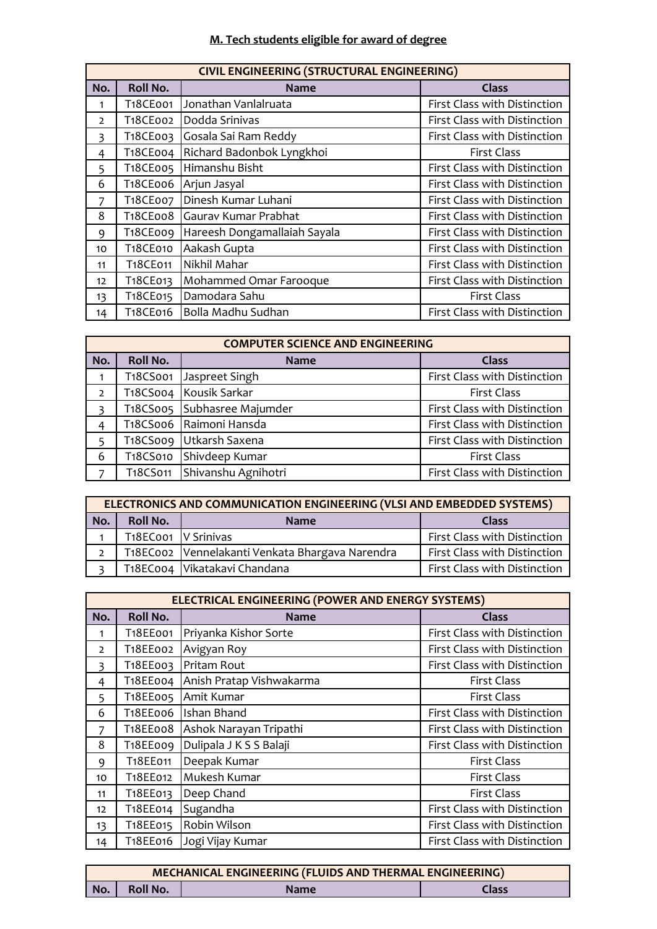#### **M. Tech students eligible for award of degree**

| <b>CIVIL ENGINEERING (STRUCTURAL ENGINEERING)</b> |                       |                              |                              |
|---------------------------------------------------|-----------------------|------------------------------|------------------------------|
| No.                                               | <b>Roll No.</b>       | <b>Name</b>                  | <b>Class</b>                 |
| 1                                                 | T18CE001              | Jonathan Vanlalruata         | First Class with Distinction |
| $\overline{2}$                                    | T18CE002              | Dodda Srinivas               | First Class with Distinction |
| 3                                                 | T <sub>1</sub> 8CE003 | Gosala Sai Ram Reddy         | First Class with Distinction |
| 4                                                 | T <sub>1</sub> 8CE004 | Richard Badonbok Lyngkhoi    | <b>First Class</b>           |
| 5                                                 | T18CE005              | Himanshu Bisht               | First Class with Distinction |
| 6                                                 | T18CE006              | Arjun Jasyal                 | First Class with Distinction |
| 7                                                 | T18CE007              | Dinesh Kumar Luhani          | First Class with Distinction |
| 8                                                 | T <sub>1</sub> 8CEoo8 | Gaurav Kumar Prabhat         | First Class with Distinction |
| 9                                                 | T <sub>1</sub> 8CE009 | Hareesh Dongamallaiah Sayala | First Class with Distinction |
| 10                                                | T18CE010              | Aakash Gupta                 | First Class with Distinction |
| 11                                                | T18CE011              | Nikhil Mahar                 | First Class with Distinction |
| 12 <sup>2</sup>                                   | T <sub>1</sub> 8CE013 | Mohammed Omar Farooque       | First Class with Distinction |
| 13                                                | T18CE015              | Damodara Sahu                | <b>First Class</b>           |
| 14                                                | T18CE016              | Bolla Madhu Sudhan           | First Class with Distinction |

| <b>COMPUTER SCIENCE AND ENGINEERING</b> |                 |                         |                              |
|-----------------------------------------|-----------------|-------------------------|------------------------------|
| No.                                     | <b>Roll No.</b> | <b>Name</b>             | <b>Class</b>                 |
|                                         | T18CS001        | Jaspreet Singh          | First Class with Distinction |
| $\overline{2}$                          |                 | T18CS004 Kousik Sarkar  | <b>First Class</b>           |
| $\overline{\mathbf{3}}$                 | T18CS005        | Subhasree Majumder      | First Class with Distinction |
| $\overline{4}$                          |                 | T18CS006 Raimoni Hansda | First Class with Distinction |
| 5                                       |                 | T18CS009 Utkarsh Saxena | First Class with Distinction |
| 6                                       | T18CS010        | Shivdeep Kumar          | <b>First Class</b>           |
| $\overline{z}$                          | T18CS011        | Shivanshu Agnihotri     | First Class with Distinction |

|                                                | ELECTRONICS AND COMMUNICATION ENGINEERING (VLSI AND EMBEDDED SYSTEMS) |                                                 |                              |  |
|------------------------------------------------|-----------------------------------------------------------------------|-------------------------------------------------|------------------------------|--|
| <b>Roll No.</b><br>No.<br>Class<br><b>Name</b> |                                                                       |                                                 |                              |  |
|                                                | T <sub>1</sub> 8ECoo1   V Srinivas                                    |                                                 | First Class with Distinction |  |
| $\mathcal{P}$                                  |                                                                       | T18EC002 Vennelakanti Venkata Bhargava Narendra | First Class with Distinction |  |
|                                                |                                                                       | T18EC004   Vikatakavi Chandana                  | First Class with Distinction |  |

| <b>ELECTRICAL ENGINEERING (POWER AND ENERGY SYSTEMS)</b> |                       |                          |                              |
|----------------------------------------------------------|-----------------------|--------------------------|------------------------------|
| No.                                                      | <b>Roll No.</b>       | <b>Name</b>              | <b>Class</b>                 |
| 1                                                        | T18EE001              | Priyanka Kishor Sorte    | First Class with Distinction |
| $\overline{2}$                                           | T18EE002              | Avigyan Roy              | First Class with Distinction |
| 3                                                        | T18EE003              | Pritam Rout              | First Class with Distinction |
| 4                                                        | T18EE004              | Anish Pratap Vishwakarma | <b>First Class</b>           |
| 5                                                        | T18EE005              | Amit Kumar               | <b>First Class</b>           |
| 6                                                        | T18EE006              | Ishan Bhand              | First Class with Distinction |
| 7                                                        | T <sub>1</sub> 8EE008 | Ashok Narayan Tripathi   | First Class with Distinction |
| 8                                                        | T <sub>1</sub> 8EE009 | Dulipala J K S S Balaji  | First Class with Distinction |
| 9                                                        | T18EE011              | Deepak Kumar             | <b>First Class</b>           |
| 10                                                       | T18EE012              | Mukesh Kumar             | <b>First Class</b>           |
| 11                                                       | T <sub>1</sub> 8EE013 | Deep Chand               | <b>First Class</b>           |
| 12                                                       | T18EE014              | Sugandha                 | First Class with Distinction |
| 13                                                       | T18EE015              | Robin Wilson             | First Class with Distinction |
| 14                                                       | T18EE016              | Jogi Vijay Kumar         | First Class with Distinction |

| MECHANICAL ENGINEERING (FLUIDS AND THERMAL ENGINEERING) |                 |             |       |
|---------------------------------------------------------|-----------------|-------------|-------|
| No.                                                     | <b>Roll No.</b> | <b>Name</b> | Class |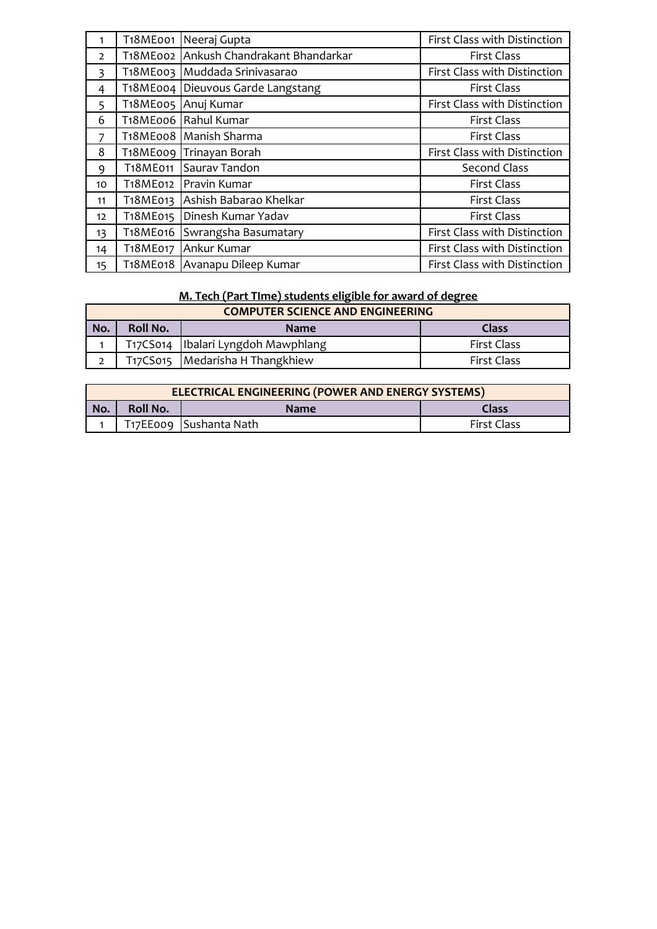| 1               | T18ME001              | Neeraj Gupta                           | First Class with Distinction |  |
|-----------------|-----------------------|----------------------------------------|------------------------------|--|
| $\overline{2}$  |                       | T18ME002 Ankush Chandrakant Bhandarkar | <b>First Class</b>           |  |
| 3               | T <sub>1</sub> 8ME003 | Muddada Srinivasarao                   | First Class with Distinction |  |
| 4               |                       | T18ME004 Dieuvous Garde Langstang      | <b>First Class</b>           |  |
| 5               | T <sub>1</sub> 8ME005 | Anuj Kumar                             | First Class with Distinction |  |
| 6               |                       | T <sub>1</sub> 8ME006 Rahul Kumar      | <b>First Class</b>           |  |
| $\overline{7}$  |                       | T18ME008 Manish Sharma                 | <b>First Class</b>           |  |
| 8               |                       | T18ME009 Trinayan Borah                | First Class with Distinction |  |
| 9               | T18ME011              | Saurav Tandon                          | <b>Second Class</b>          |  |
| 10              | T18ME012              | Pravin Kumar                           | <b>First Class</b>           |  |
| 11              | T <sub>1</sub> 8ME013 | Ashish Babarao Khelkar                 | <b>First Class</b>           |  |
| 12 <sup>2</sup> | T18ME015              | Dinesh Kumar Yadav                     | <b>First Class</b>           |  |
| 13              | T18ME016              | Swrangsha Basumatary                   | First Class with Distinction |  |
| 14              | T18ME017              | Ankur Kumar                            | First Class with Distinction |  |
| 15              | T18ME018              | Avanapu Dileep Kumar                   | First Class with Distinction |  |

# **M. Tech (Part TIme) students eligible for award of degree**

| <b>COMPUTER SCIENCE AND ENGINEERING</b> |                                  |                                      |                    |  |  |  |  |
|-----------------------------------------|----------------------------------|--------------------------------------|--------------------|--|--|--|--|
| No.                                     | Roll No.<br>Class<br><b>Name</b> |                                      |                    |  |  |  |  |
|                                         |                                  | T17CS014   Ibalari Lyngdoh Mawphlang | <b>First Class</b> |  |  |  |  |
|                                         |                                  | T17CS015   Medarisha H Thangkhiew    | <b>First Class</b> |  |  |  |  |
|                                         |                                  |                                      |                    |  |  |  |  |

| <b>ELECTRICAL ENGINEERING (POWER AND ENERGY SYSTEMS)</b> |                                         |                            |                    |  |  |  |  |
|----------------------------------------------------------|-----------------------------------------|----------------------------|--------------------|--|--|--|--|
| No.                                                      | <b>Roll No.</b><br>Class<br><b>Name</b> |                            |                    |  |  |  |  |
|                                                          |                                         | 1   T17EE009 Sushanta Nath | <b>First Class</b> |  |  |  |  |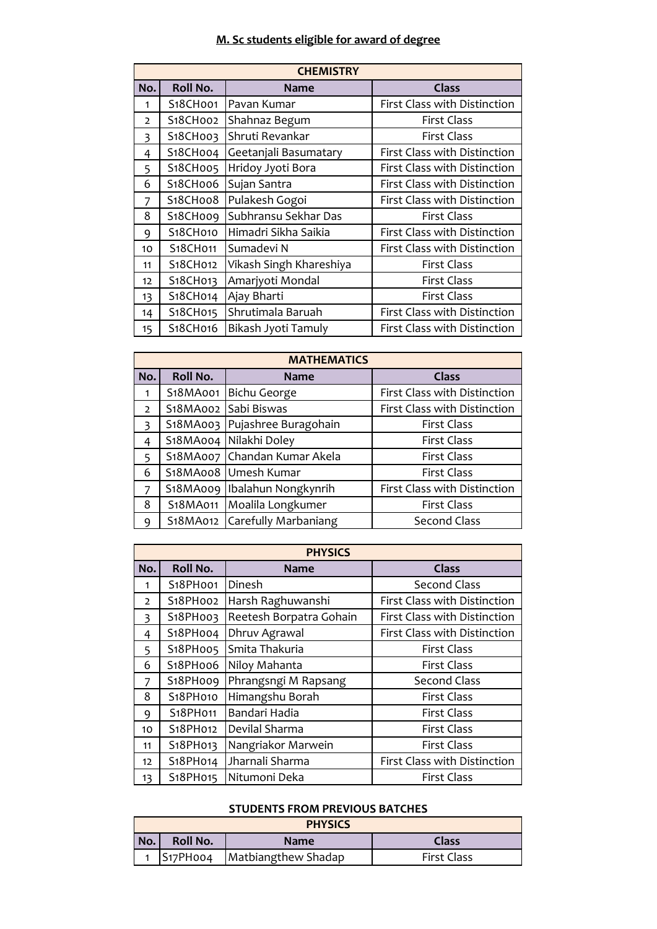## **M. Sc students eligible for award of degree**

| <b>CHEMISTRY</b> |                                                                 |                         |                              |  |  |
|------------------|-----------------------------------------------------------------|-------------------------|------------------------------|--|--|
| No.              | <b>Roll No.</b>                                                 | <b>Name</b>             | Class                        |  |  |
| 1                | S <sub>18</sub> CH001                                           | Pavan Kumar             | First Class with Distinction |  |  |
| $\overline{2}$   | S18CH002                                                        | Shahnaz Begum           | <b>First Class</b>           |  |  |
| 3                | S <sub>18</sub> CH <sub>003</sub>                               | Shruti Revankar         | <b>First Class</b>           |  |  |
| 4                | S18CH004                                                        | Geetanjali Basumatary   | First Class with Distinction |  |  |
| 5                | S18CH005                                                        | Hridoy Jyoti Bora       | First Class with Distinction |  |  |
| 6                | S18CH006                                                        | Sujan Santra            | First Class with Distinction |  |  |
| 7                | S <sub>1</sub> 8CHoo8                                           | Pulakesh Gogoi          | First Class with Distinction |  |  |
| 8                | S18CH009                                                        | Subhransu Sekhar Das    | <b>First Class</b>           |  |  |
| 9                | S18CH010                                                        | Himadri Sikha Saikia    | First Class with Distinction |  |  |
| 10               | S18CH011                                                        | Sumadevi N              | First Class with Distinction |  |  |
| 11               | S <sub>18</sub> CH <sub>012</sub>                               | Vikash Singh Khareshiya | <b>First Class</b>           |  |  |
| 12               | S18CH013                                                        | Amarjyoti Mondal        | <b>First Class</b>           |  |  |
| 13               | S18CH014                                                        | Ajay Bharti             | <b>First Class</b>           |  |  |
| 14               | S18CH015                                                        | Shrutimala Baruah       | First Class with Distinction |  |  |
| 15               | S18CH016<br>Bikash Jyoti Tamuly<br>First Class with Distinction |                         |                              |  |  |

| <b>MATHEMATICS</b> |                 |                                |                              |  |  |
|--------------------|-----------------|--------------------------------|------------------------------|--|--|
| No.                | <b>Roll No.</b> | <b>Name</b>                    | <b>Class</b>                 |  |  |
|                    | S18MA001        | <b>Bichu George</b>            | First Class with Distinction |  |  |
| $\mathcal{L}$      |                 | S18MA002 Sabi Biswas           | First Class with Distinction |  |  |
| 3                  |                 | S18MA003 Pujashree Buragohain  | <b>First Class</b>           |  |  |
| 4                  |                 | S18MA004 Nilakhi Doley         | <b>First Class</b>           |  |  |
| $5\overline{5}$    |                 | S18MA007 Chandan Kumar Akela   | <b>First Class</b>           |  |  |
| 6                  |                 | S18MA008 Umesh Kumar           | <b>First Class</b>           |  |  |
|                    |                 | S18MA009   Ibalahun Nongkynrih | First Class with Distinction |  |  |
| 8                  | S18MA011        | Moalila Longkumer              | <b>First Class</b>           |  |  |
| a                  |                 | S18MA012 Carefully Marbaniang  | <b>Second Class</b>          |  |  |

| <b>PHYSICS</b>         |          |                         |                              |  |  |
|------------------------|----------|-------------------------|------------------------------|--|--|
| <b>Roll No.</b><br>No. |          | <b>Name</b>             | <b>Class</b>                 |  |  |
| $\mathbf 1$            | S18PHoo1 | Dinesh                  | <b>Second Class</b>          |  |  |
| $\overline{2}$         | S18PHoo2 | Harsh Raghuwanshi       | First Class with Distinction |  |  |
| 3                      | S18PH003 | Reetesh Borpatra Gohain | First Class with Distinction |  |  |
| 4                      | S18PHoo4 | Dhruv Agrawal           | First Class with Distinction |  |  |
| 5                      | S18PHoo5 | Smita Thakuria          | <b>First Class</b>           |  |  |
| 6                      | S18PHoo6 | Niloy Mahanta           | <b>First Class</b>           |  |  |
| 7                      | S18PHoo9 | Phrangsngi M Rapsang    | <b>Second Class</b>          |  |  |
| 8                      | S18PH010 | Himangshu Borah         | <b>First Class</b>           |  |  |
| 9                      | S18PH011 | Bandari Hadia           | <b>First Class</b>           |  |  |
| 10                     | S18PH012 | Devilal Sharma          | <b>First Class</b>           |  |  |
| 11                     | S18PH013 | Nangriakor Marwein      | <b>First Class</b>           |  |  |
| 12 <sup>2</sup>        | S18PH014 | Jharnali Sharma         | First Class with Distinction |  |  |
| 13                     | S18PH015 | Nitumoni Deka           | <b>First Class</b>           |  |  |

#### **STUDENTS FROM PREVIOUS BATCHES**

|     | <b>PHYSICS</b>  |                                |                    |  |  |  |
|-----|-----------------|--------------------------------|--------------------|--|--|--|
| No. | <b>Roll No.</b> | Class                          |                    |  |  |  |
|     |                 | S17PH004   Matbiangthew Shadap | <b>First Class</b> |  |  |  |